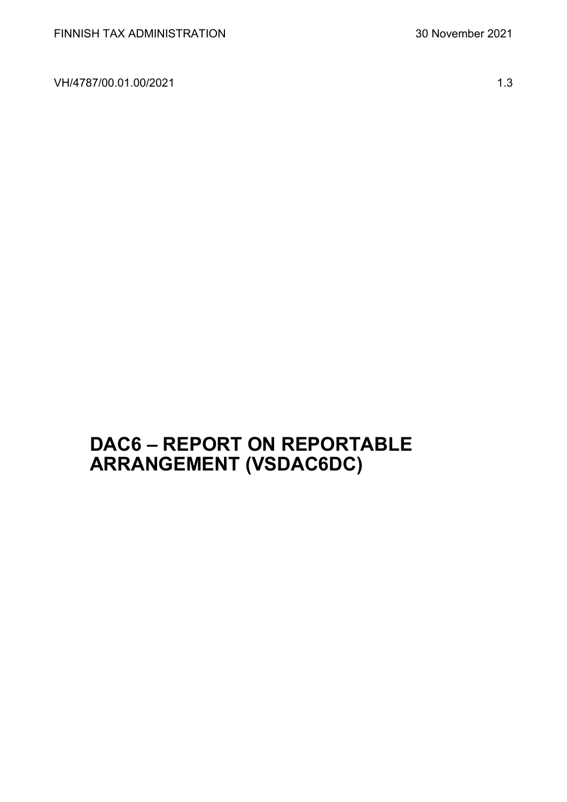VH/4787/00.01.00/2021 1.3

# **DAC6 – REPORT ON REPORTABLE ARRANGEMENT (VSDAC6DC)**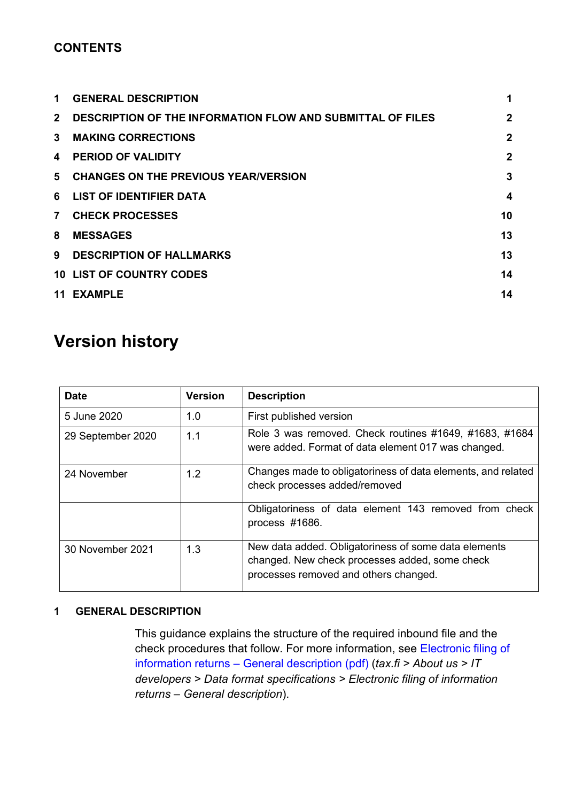## **CONTENTS**

| 1           | <b>GENERAL DESCRIPTION</b>                                        | 1              |
|-------------|-------------------------------------------------------------------|----------------|
| $2^{\circ}$ | <b>DESCRIPTION OF THE INFORMATION FLOW AND SUBMITTAL OF FILES</b> | $\mathbf{2}$   |
| 3           | <b>MAKING CORRECTIONS</b>                                         | $\overline{2}$ |
| 4           | <b>PERIOD OF VALIDITY</b>                                         | $\mathbf{2}$   |
| 5.          | <b>CHANGES ON THE PREVIOUS YEAR/VERSION</b>                       | 3              |
| 6           | <b>LIST OF IDENTIFIER DATA</b>                                    | 4              |
| 7           | <b>CHECK PROCESSES</b>                                            | 10             |
| 8           | <b>MESSAGES</b>                                                   | 13             |
| 9           | <b>DESCRIPTION OF HALLMARKS</b>                                   | 13             |
|             | <b>10 LIST OF COUNTRY CODES</b>                                   | 14             |
| 11          | <b>EXAMPLE</b>                                                    | 14             |

# **Version history**

| <b>Date</b>       | <b>Version</b> | <b>Description</b>                                                                                                                              |
|-------------------|----------------|-------------------------------------------------------------------------------------------------------------------------------------------------|
| 5 June 2020       | 1.0            | First published version                                                                                                                         |
| 29 September 2020 | 1.1            | Role 3 was removed. Check routines #1649, #1683, #1684<br>were added. Format of data element 017 was changed.                                   |
| 24 November       | 1.2            | Changes made to obligatoriness of data elements, and related<br>check processes added/removed                                                   |
|                   |                | Obligatoriness of data element 143 removed from check<br>process #1686.                                                                         |
| 30 November 2021  | 1.3            | New data added. Obligatoriness of some data elements<br>changed. New check processes added, some check<br>processes removed and others changed. |

#### <span id="page-1-0"></span>**1 GENERAL DESCRIPTION**

This guidance explains the structure of the required inbound file and the check procedures that follow. For more information, see [Electronic filing of](https://www.vero.fi/globalassets/tietoa-verohallinnosta/ohjelmistokehittajille/finnish-tax-administration_electronic-filing-of-information-returns-general-description.pdf)  information returns – [General description \(pdf\)](https://www.vero.fi/globalassets/tietoa-verohallinnosta/ohjelmistokehittajille/finnish-tax-administration_electronic-filing-of-information-returns-general-description.pdf) (*tax.fi > About us > IT developers > Data format specifications > Electronic filing of information returns – General description*).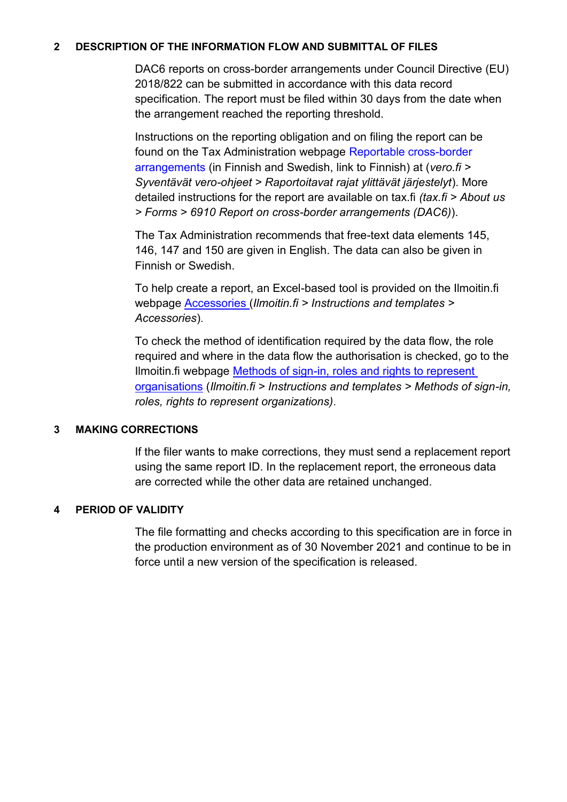#### <span id="page-2-0"></span>**2 DESCRIPTION OF THE INFORMATION FLOW AND SUBMITTAL OF FILES**

DAC6 reports on cross-border arrangements under Council Directive (EU) 2018/822 can be submitted in accordance with this data record specification. The report must be filed within 30 days from the date when the arrangement reached the reporting threshold.

Instructions on the reporting obligation and on filing the report can be found on the Tax Administration webpage [Reportable cross-border](https://www.vero.fi/syventavat-vero-ohjeet/ohje-hakusivu/84830/raportoitavat-rajat-ylitt%C3%A4v%C3%A4t-j%C3%A4rjestelyt/)  [arrangements](https://www.vero.fi/syventavat-vero-ohjeet/ohje-hakusivu/84830/raportoitavat-rajat-ylitt%C3%A4v%C3%A4t-j%C3%A4rjestelyt/) (in Finnish and Swedish, link to Finnish) at (*vero.fi > Syventävät vero-ohjeet > Raportoitavat rajat ylittävät järjestelyt*). More detailed instructions for the report are available on tax.fi *(tax.fi > About us > Forms > 6910 Report on cross-border arrangements (DAC6)*).

The Tax Administration recommends that free-text data elements 145, 146, 147 and 150 are given in English. The data can also be given in Finnish or Swedish.

To help create a report, an Excel-based tool is provided on the Ilmoitin.fi webpage [Accessories](https://www.ilmoitin.fi/webtamo/sivut/ExcelPohjat?13) (*Ilmoitin.fi > Instructions and templates > Accessories*).

To check the method of identification required by the data flow, the role required and where in the data flow the authorisation is checked, go to the Ilmoitin.fi webpage [Methods of sign-in, roles and rights to represent](https://www.ilmoitin.fi/webtamo/sivut/IlmoituslajiRoolit?kieli=en&tv=VSDAC6DC)  [organisations](https://www.ilmoitin.fi/webtamo/sivut/IlmoituslajiRoolit?kieli=en&tv=VSDAC6DC) (*Ilmoitin.fi > Instructions and templates > Methods of sign-in, roles, rights to represent organizations)*.

#### <span id="page-2-1"></span>**3 MAKING CORRECTIONS**

If the filer wants to make corrections, they must send a replacement report using the same report ID. In the replacement report, the erroneous data are corrected while the other data are retained unchanged.

### <span id="page-2-2"></span>**4 PERIOD OF VALIDITY**

The file formatting and checks according to this specification are in force in the production environment as of 30 November 2021 and continue to be in force until a new version of the specification is released.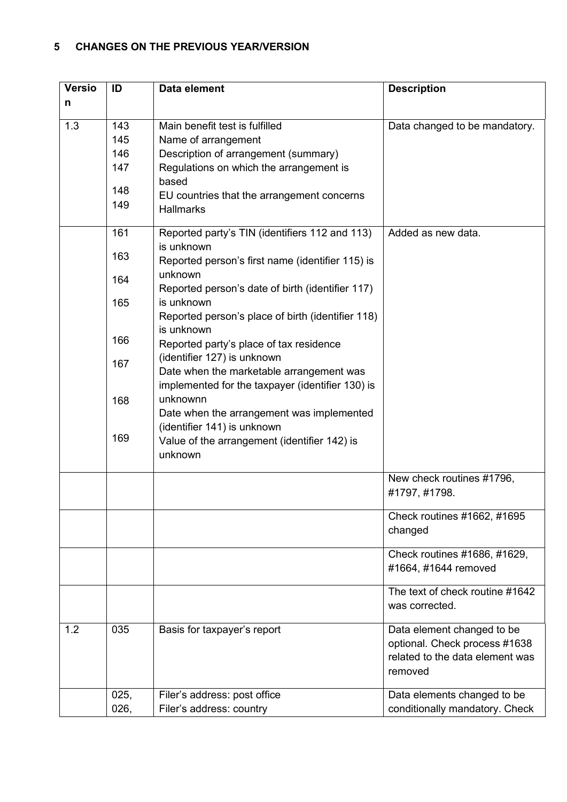#### <span id="page-3-0"></span>**5 CHANGES ON THE PREVIOUS YEAR/VERSION**

| <b>Versio</b> | ID         | Data element                                                                                 | <b>Description</b>              |
|---------------|------------|----------------------------------------------------------------------------------------------|---------------------------------|
| n             |            |                                                                                              |                                 |
| 1.3           | 143        | Main benefit test is fulfilled                                                               | Data changed to be mandatory.   |
|               | 145        | Name of arrangement                                                                          |                                 |
|               | 146        | Description of arrangement (summary)                                                         |                                 |
|               | 147        | Regulations on which the arrangement is                                                      |                                 |
|               |            | based                                                                                        |                                 |
|               | 148<br>149 | EU countries that the arrangement concerns                                                   |                                 |
|               |            | <b>Hallmarks</b>                                                                             |                                 |
|               | 161        | Reported party's TIN (identifiers 112 and 113)                                               | Added as new data.              |
|               | 163        | is unknown                                                                                   |                                 |
|               |            | Reported person's first name (identifier 115) is<br>unknown                                  |                                 |
|               | 164        | Reported person's date of birth (identifier 117)                                             |                                 |
|               | 165        | is unknown                                                                                   |                                 |
|               |            | Reported person's place of birth (identifier 118)                                            |                                 |
|               | 166        | is unknown                                                                                   |                                 |
|               |            | Reported party's place of tax residence                                                      |                                 |
|               | 167        | (identifier 127) is unknown                                                                  |                                 |
|               |            | Date when the marketable arrangement was<br>implemented for the taxpayer (identifier 130) is |                                 |
|               | 168        | unknownn                                                                                     |                                 |
|               |            | Date when the arrangement was implemented                                                    |                                 |
|               |            | (identifier 141) is unknown                                                                  |                                 |
|               | 169        | Value of the arrangement (identifier 142) is                                                 |                                 |
|               |            | unknown                                                                                      |                                 |
|               |            |                                                                                              | New check routines #1796,       |
|               |            |                                                                                              | #1797, #1798.                   |
|               |            |                                                                                              |                                 |
|               |            |                                                                                              | Check routines #1662, #1695     |
|               |            |                                                                                              | changed                         |
|               |            |                                                                                              | Check routines #1686, #1629,    |
|               |            |                                                                                              | #1664, #1644 removed            |
|               |            |                                                                                              | The text of check routine #1642 |
|               |            |                                                                                              | was corrected.                  |
| 1.2           | 035        | Basis for taxpayer's report                                                                  | Data element changed to be      |
|               |            |                                                                                              | optional. Check process #1638   |
|               |            |                                                                                              | related to the data element was |
|               |            |                                                                                              | removed                         |
|               | 025,       | Filer's address: post office                                                                 | Data elements changed to be     |
|               | 026,       | Filer's address: country                                                                     | conditionally mandatory. Check  |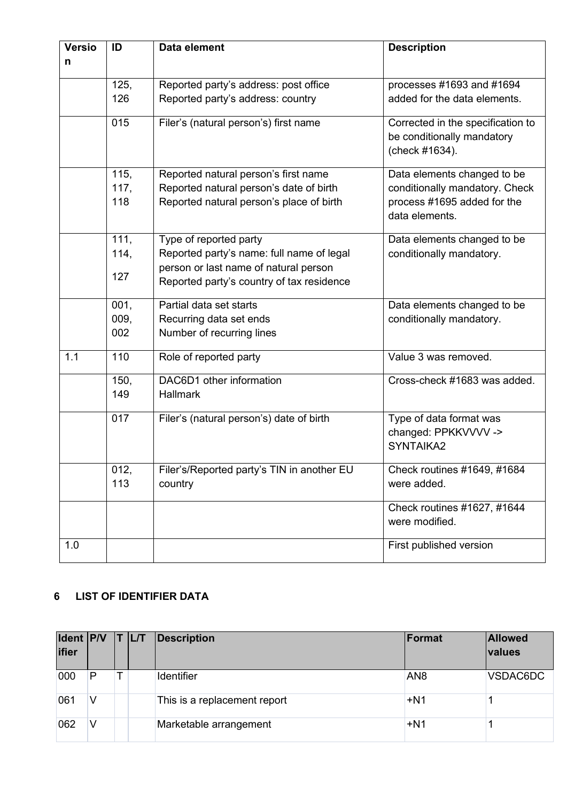| <b>Versio</b> | ID   | Data element                               | <b>Description</b>                                                                |
|---------------|------|--------------------------------------------|-----------------------------------------------------------------------------------|
| n             |      |                                            |                                                                                   |
|               | 125, | Reported party's address: post office      | processes #1693 and #1694                                                         |
|               | 126  | Reported party's address: country          | added for the data elements.                                                      |
|               | 015  | Filer's (natural person's) first name      | Corrected in the specification to<br>be conditionally mandatory<br>(check #1634). |
|               | 115, | Reported natural person's first name       | Data elements changed to be                                                       |
|               | 117, | Reported natural person's date of birth    | conditionally mandatory. Check                                                    |
|               | 118  | Reported natural person's place of birth   | process #1695 added for the<br>data elements.                                     |
|               | 111, | Type of reported party                     | Data elements changed to be                                                       |
|               | 114, | Reported party's name: full name of legal  | conditionally mandatory.                                                          |
|               |      | person or last name of natural person      |                                                                                   |
|               | 127  | Reported party's country of tax residence  |                                                                                   |
|               | 001, | Partial data set starts                    | Data elements changed to be                                                       |
|               | 009, | Recurring data set ends                    | conditionally mandatory.                                                          |
|               | 002  | Number of recurring lines                  |                                                                                   |
| 1.1           | 110  | Role of reported party                     | Value 3 was removed.                                                              |
|               | 150, | DAC6D1 other information                   | Cross-check #1683 was added.                                                      |
|               | 149  | <b>Hallmark</b>                            |                                                                                   |
|               | 017  | Filer's (natural person's) date of birth   | Type of data format was<br>changed: PPKKVVVV ->                                   |
|               |      |                                            | SYNTAIKA2                                                                         |
|               | 012, | Filer's/Reported party's TIN in another EU | Check routines #1649, #1684                                                       |
|               | 113  | country                                    | were added.                                                                       |
|               |      |                                            | Check routines #1627, #1644<br>were modified.                                     |
|               |      |                                            |                                                                                   |
| 1.0           |      |                                            | First published version                                                           |

## <span id="page-4-0"></span>**6 LIST OF IDENTIFIER DATA**

| Ident   P/V<br><b>ifier</b> |   | T LT | Description                  | Format          | <b>Allowed</b><br>values |
|-----------------------------|---|------|------------------------------|-----------------|--------------------------|
| 000                         | P |      | <b>Identifier</b>            | AN <sub>8</sub> | VSDAC6DC                 |
| 061                         | V |      | This is a replacement report | $+N1$           |                          |
| 062                         | V |      | Marketable arrangement       | $+N1$           |                          |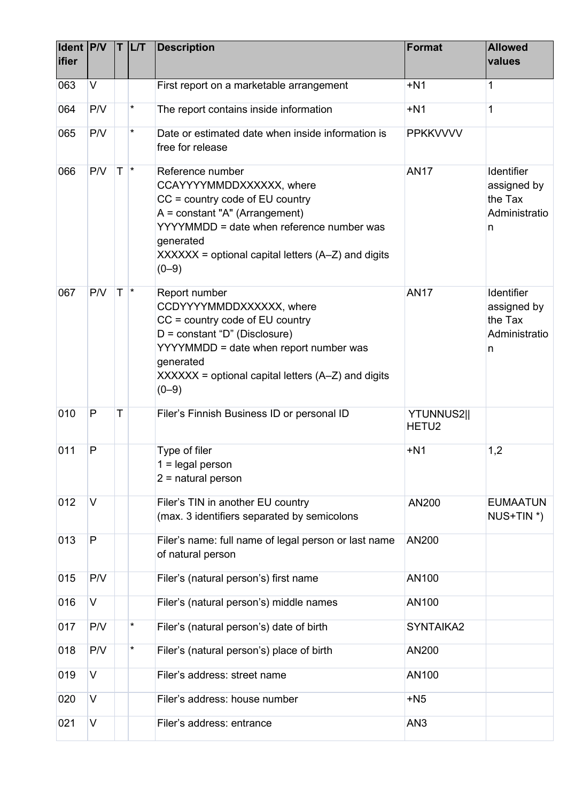| Ident P/V<br>ifier |        |   | $\overline{t}$ $LT$ | Description                                                                                                                                                                                                                                           | <b>Format</b>                   | <b>Allowed</b><br>values                                          |
|--------------------|--------|---|---------------------|-------------------------------------------------------------------------------------------------------------------------------------------------------------------------------------------------------------------------------------------------------|---------------------------------|-------------------------------------------------------------------|
| 063                | V      |   |                     | First report on a marketable arrangement                                                                                                                                                                                                              | $+N1$                           | 1                                                                 |
| 064                | P/V    |   | *                   | The report contains inside information                                                                                                                                                                                                                | $+N1$                           | 1                                                                 |
| 065                | P/V    |   | *                   | Date or estimated date when inside information is<br>free for release                                                                                                                                                                                 | <b>PPKKVVVV</b>                 |                                                                   |
| 066                | P/V    | T |                     | Reference number<br>CCAYYYYMMDDXXXXXX, where<br>$CC = country code of EU country$<br>$A = constant "A" (Arrangement)$<br>YYYYMMDD = date when reference number was<br>generated<br>$XXXXX =$ optional capital letters $(A-Z)$ and digits<br>$(0 - 9)$ | <b>AN17</b>                     | <b>Identifier</b><br>assigned by<br>the Tax<br>Administratio<br>n |
| 067                | P/V    | T | $\vert \star$       | Report number<br>CCDYYYYMMDDXXXXXX, where<br>$CC = country code of EU country$<br>$D = constant "D" (Disclosure)$<br>YYYYMMDD = date when report number was<br>generated<br>$XXXXX =$ optional capital letters $(A-Z)$ and digits<br>$(0 - 9)$        | <b>AN17</b>                     | <b>Identifier</b><br>assigned by<br>the Tax<br>Administratio<br>n |
| 010                | P      | Τ |                     | Filer's Finnish Business ID or personal ID                                                                                                                                                                                                            | YTUNNUS2  <br>HETU <sub>2</sub> |                                                                   |
| 011                | P      |   |                     | Type of filer<br>$1 =$ legal person<br>2 = natural person                                                                                                                                                                                             | $+N1$                           | 1,2                                                               |
| 012                | $\vee$ |   |                     | Filer's TIN in another EU country<br>(max. 3 identifiers separated by semicolons                                                                                                                                                                      | AN200                           | <b>EUMAATUN</b><br>NUS+TIN *)                                     |
| 013                | P      |   |                     | Filer's name: full name of legal person or last name<br>of natural person                                                                                                                                                                             | AN200                           |                                                                   |
| 015                | P/V    |   |                     | Filer's (natural person's) first name                                                                                                                                                                                                                 | AN100                           |                                                                   |
| 016                | V      |   |                     | Filer's (natural person's) middle names                                                                                                                                                                                                               | AN100                           |                                                                   |
| 017                | P/V    |   | *                   | Filer's (natural person's) date of birth                                                                                                                                                                                                              | SYNTAIKA2                       |                                                                   |
| 018                | P/V    |   | *                   | Filer's (natural person's) place of birth                                                                                                                                                                                                             | AN200                           |                                                                   |
| 019                | V      |   |                     | Filer's address: street name                                                                                                                                                                                                                          | AN100                           |                                                                   |
| 020                | V      |   |                     | Filer's address: house number                                                                                                                                                                                                                         | $+N5$                           |                                                                   |
| 021                | V      |   |                     | Filer's address: entrance                                                                                                                                                                                                                             | AN <sub>3</sub>                 |                                                                   |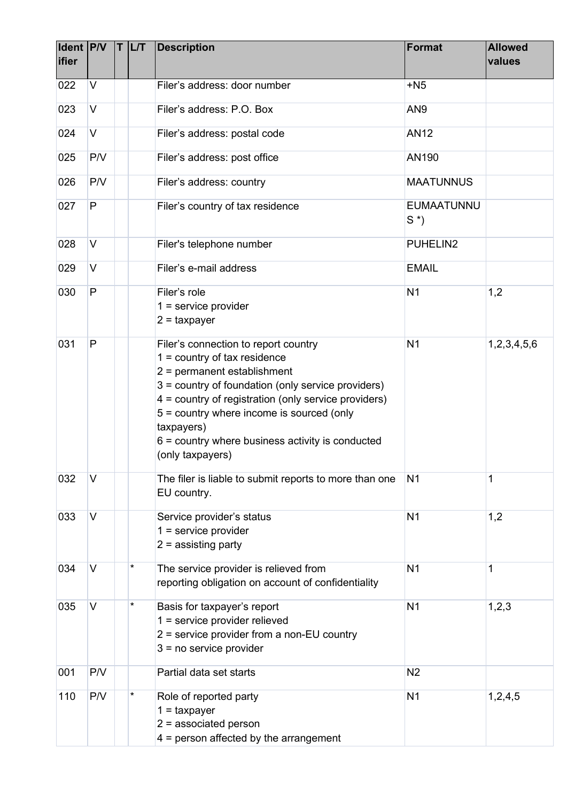| Ident P/V<br>ifier |        | T LT    | Description                                                                                                                                                                                                                                                                                                                                                | Format                     | <b>Allowed</b><br>values |
|--------------------|--------|---------|------------------------------------------------------------------------------------------------------------------------------------------------------------------------------------------------------------------------------------------------------------------------------------------------------------------------------------------------------------|----------------------------|--------------------------|
| 022                | V      |         | Filer's address: door number                                                                                                                                                                                                                                                                                                                               | $+N5$                      |                          |
| 023                | V      |         | Filer's address: P.O. Box                                                                                                                                                                                                                                                                                                                                  | AN <sub>9</sub>            |                          |
| 024                | V      |         | Filer's address: postal code                                                                                                                                                                                                                                                                                                                               | <b>AN12</b>                |                          |
| 025                | P/V    |         | Filer's address: post office                                                                                                                                                                                                                                                                                                                               | AN190                      |                          |
| 026                | P/V    |         | Filer's address: country                                                                                                                                                                                                                                                                                                                                   | <b>MAATUNNUS</b>           |                          |
| 027                | P      |         | Filer's country of tax residence                                                                                                                                                                                                                                                                                                                           | <b>EUMAATUNNU</b><br>$S^*$ |                          |
| 028                | $\vee$ |         | Filer's telephone number                                                                                                                                                                                                                                                                                                                                   | PUHELIN2                   |                          |
| 029                | V      |         | Filer's e-mail address                                                                                                                                                                                                                                                                                                                                     | <b>EMAIL</b>               |                          |
| 030                | P      |         | Filer's role<br>$1 =$ service provider<br>$2 =$ taxpayer                                                                                                                                                                                                                                                                                                   | N <sub>1</sub>             | 1,2                      |
| 031                | P      |         | Filer's connection to report country<br>$1 =$ country of tax residence<br>$2$ = permanent establishment<br>3 = country of foundation (only service providers)<br>4 = country of registration (only service providers)<br>5 = country where income is sourced (only<br>taxpayers)<br>$6$ = country where business activity is conducted<br>(only taxpayers) | N <sub>1</sub>             | 1,2,3,4,5,6              |
| 032                | $\vee$ |         | The filer is liable to submit reports to more than one<br>EU country.                                                                                                                                                                                                                                                                                      | N <sub>1</sub>             | 1                        |
| 033                | $\vee$ |         | Service provider's status<br>$1 =$ service provider<br>$2 =$ assisting party                                                                                                                                                                                                                                                                               | N <sub>1</sub>             | 1,2                      |
| 034                | $\vee$ | $\star$ | The service provider is relieved from<br>reporting obligation on account of confidentiality                                                                                                                                                                                                                                                                | N <sub>1</sub>             | 1                        |
| 035                | $\vee$ | *       | Basis for taxpayer's report<br>$1 =$ service provider relieved<br>$2$ = service provider from a non-EU country<br>$3$ = no service provider                                                                                                                                                                                                                | N <sub>1</sub>             | 1,2,3                    |
| 001                | P/V    |         | Partial data set starts                                                                                                                                                                                                                                                                                                                                    | N <sub>2</sub>             |                          |
| 110                | P/V    | *       | Role of reported party<br>$1 =$ taxpayer<br>$2$ = associated person<br>$4 =$ person affected by the arrangement                                                                                                                                                                                                                                            | N <sub>1</sub>             | 1,2,4,5                  |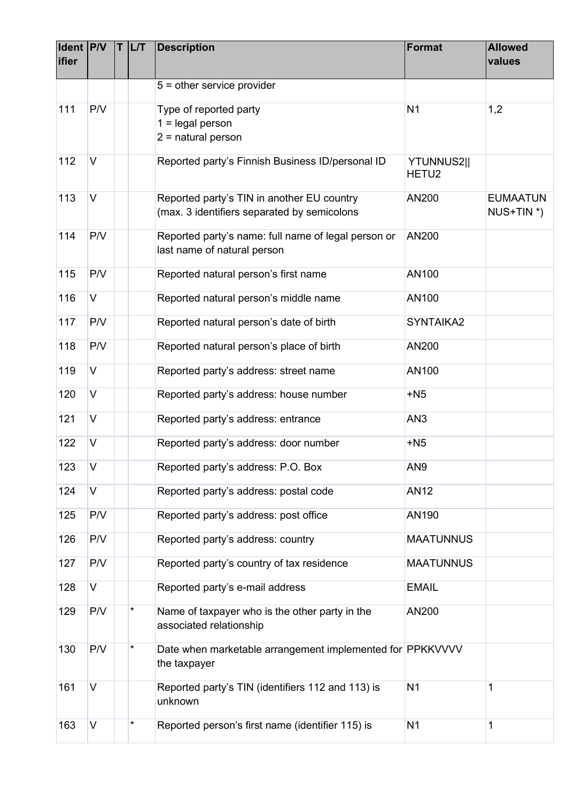| Ident P/V<br>ifier |        | <b>T L/T</b> | <b>Description</b>                                                                        | <b>Format</b>       | <b>Allowed</b><br>values                  |
|--------------------|--------|--------------|-------------------------------------------------------------------------------------------|---------------------|-------------------------------------------|
|                    |        |              | $5 =$ other service provider                                                              |                     |                                           |
| 111                | P/V    |              | Type of reported party<br>$1 =$ legal person<br>$2$ = natural person                      | N <sub>1</sub>      | 1,2                                       |
| 112                | V      |              | Reported party's Finnish Business ID/personal ID                                          | YTUNNUS2  <br>HETU2 |                                           |
| 113                | $\vee$ |              | Reported party's TIN in another EU country<br>(max. 3 identifiers separated by semicolons | AN200               | <b>EUMAATUN</b><br>NUS+TIN <sup>*</sup> ) |
| 114                | P/V    |              | Reported party's name: full name of legal person or<br>last name of natural person        | AN200               |                                           |
| 115                | P/V    |              | Reported natural person's first name                                                      | AN100               |                                           |
| 116                | V      |              | Reported natural person's middle name                                                     | AN100               |                                           |
| 117                | P/V    |              | Reported natural person's date of birth                                                   | SYNTAIKA2           |                                           |
| 118                | P/V    |              | Reported natural person's place of birth                                                  | AN200               |                                           |
| 119                | V      |              | Reported party's address: street name                                                     | AN100               |                                           |
| 120                | V      |              | Reported party's address: house number                                                    | $+N5$               |                                           |
| 121                | V      |              | Reported party's address: entrance                                                        | AN <sub>3</sub>     |                                           |
| 122                | $\vee$ |              | Reported party's address: door number                                                     | $+N5$               |                                           |
| 123                | V      |              | Reported party's address: P.O. Box                                                        | AN9                 |                                           |
| 124                | V      |              | Reported party's address: postal code                                                     | <b>AN12</b>         |                                           |
| 125                | P/V    |              | Reported party's address: post office                                                     | AN190               |                                           |
| 126                | P/V    |              | Reported party's address: country                                                         | <b>MAATUNNUS</b>    |                                           |
| 127                | P/V    |              | Reported party's country of tax residence                                                 | <b>MAATUNNUS</b>    |                                           |
| 128                | V      |              | Reported party's e-mail address                                                           | <b>EMAIL</b>        |                                           |
| 129                | P/V    | $^\star$     | Name of taxpayer who is the other party in the<br>associated relationship                 | AN200               |                                           |
| 130                | P/V    | $^\star$     | Date when marketable arrangement implemented for PPKKVVVV<br>the taxpayer                 |                     |                                           |
| 161                | V      |              | Reported party's TIN (identifiers 112 and 113) is<br>unknown                              | N <sub>1</sub>      | 1                                         |
| 163                | V      | *            | Reported person's first name (identifier 115) is                                          | N <sub>1</sub>      | 1                                         |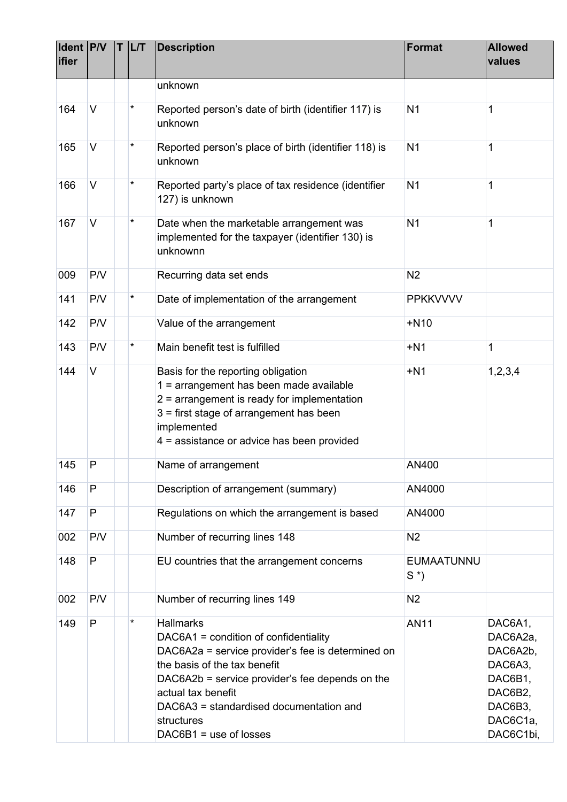| Ident P/V<br>ifier |        | <b>T L/T</b> | <b>Description</b>                                                                                                                                                                                                                                                                                           | Format                     | <b>Allowed</b><br>values                                                                             |
|--------------------|--------|--------------|--------------------------------------------------------------------------------------------------------------------------------------------------------------------------------------------------------------------------------------------------------------------------------------------------------------|----------------------------|------------------------------------------------------------------------------------------------------|
|                    |        |              | unknown                                                                                                                                                                                                                                                                                                      |                            |                                                                                                      |
| 164                | V      | $^\star$     | Reported person's date of birth (identifier 117) is<br>unknown                                                                                                                                                                                                                                               | N <sub>1</sub>             | 1                                                                                                    |
| 165                | V      | $^\star$     | Reported person's place of birth (identifier 118) is<br>unknown                                                                                                                                                                                                                                              | N <sub>1</sub>             | $\mathbf{1}$                                                                                         |
| 166                | V      | *            | Reported party's place of tax residence (identifier<br>127) is unknown                                                                                                                                                                                                                                       | N <sub>1</sub>             | 1                                                                                                    |
| 167                | $\vee$ | $^\star$     | Date when the marketable arrangement was<br>implemented for the taxpayer (identifier 130) is<br>unknownn                                                                                                                                                                                                     | N <sub>1</sub>             | 1                                                                                                    |
| 009                | P/V    |              | Recurring data set ends                                                                                                                                                                                                                                                                                      | N <sub>2</sub>             |                                                                                                      |
| 141                | P/V    | $^\star$     | Date of implementation of the arrangement                                                                                                                                                                                                                                                                    | <b>PPKKVVVV</b>            |                                                                                                      |
| 142                | P/V    |              | Value of the arrangement                                                                                                                                                                                                                                                                                     | $+N10$                     |                                                                                                      |
| 143                | P/V    | *            | Main benefit test is fulfilled                                                                                                                                                                                                                                                                               | $+N1$                      | $\mathbf{1}$                                                                                         |
| 144                | V      |              | Basis for the reporting obligation<br>1 = arrangement has been made available<br>$2$ = arrangement is ready for implementation<br>3 = first stage of arrangement has been<br>implemented<br>4 = assistance or advice has been provided                                                                       | $+N1$                      | 1,2,3,4                                                                                              |
| 145                | P      |              | Name of arrangement                                                                                                                                                                                                                                                                                          | AN400                      |                                                                                                      |
| 146                | P      |              | Description of arrangement (summary)                                                                                                                                                                                                                                                                         | AN4000                     |                                                                                                      |
| 147                | P      |              | Regulations on which the arrangement is based                                                                                                                                                                                                                                                                | AN4000                     |                                                                                                      |
| 002                | P/V    |              | Number of recurring lines 148                                                                                                                                                                                                                                                                                | N <sub>2</sub>             |                                                                                                      |
| 148                | P      |              | EU countries that the arrangement concerns                                                                                                                                                                                                                                                                   | <b>EUMAATUNNU</b><br>$S^*$ |                                                                                                      |
| 002                | P/V    |              | Number of recurring lines 149                                                                                                                                                                                                                                                                                | N <sub>2</sub>             |                                                                                                      |
| 149                | P      | $^\star$     | <b>Hallmarks</b><br>DAC6A1 = condition of confidentiality<br>DAC6A2a = service provider's fee is determined on<br>the basis of the tax benefit<br>DAC6A2b = service provider's fee depends on the<br>actual tax benefit<br>DAC6A3 = standardised documentation and<br>structures<br>$DAC6B1$ = use of losses | <b>AN11</b>                | DAC6A1,<br>DAC6A2a,<br>DAC6A2b,<br>DAC6A3,<br>DAC6B1,<br>DAC6B2,<br>DAC6B3,<br>DAC6C1a,<br>DAC6C1bi, |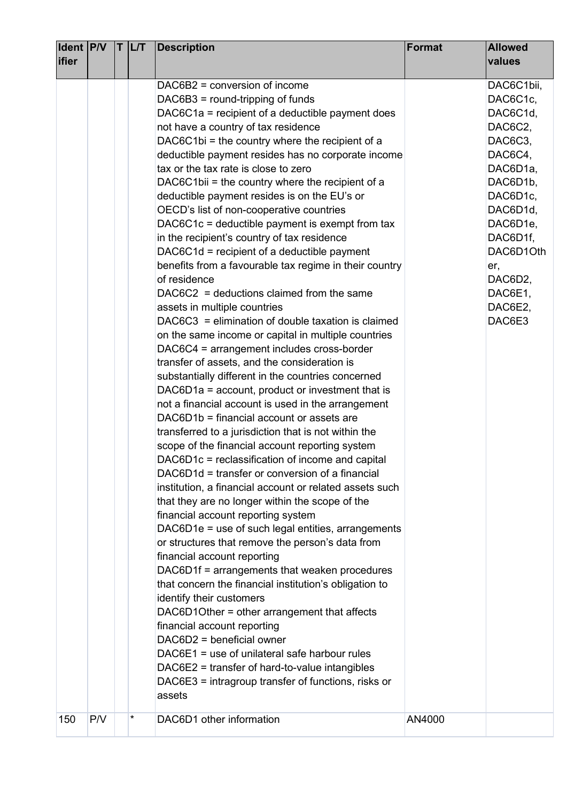| Ident   P/V   |     | T LT | <b>Description</b>                                                                         | <b>Format</b> | <b>Allowed</b>       |
|---------------|-----|------|--------------------------------------------------------------------------------------------|---------------|----------------------|
| <b>lifier</b> |     |      |                                                                                            |               | values               |
|               |     |      | DAC6B2 = conversion of income                                                              |               | DAC6C1bii,           |
|               |     |      | $DAC6B3$ = round-tripping of funds                                                         |               | DAC6C1c,             |
|               |     |      | DAC6C1a = recipient of a deductible payment does                                           |               | DAC6C1d,             |
|               |     |      | not have a country of tax residence                                                        |               | DAC6C2,              |
|               |     |      | DAC6C1bi = the country where the recipient of a                                            |               | DAC6C3,              |
|               |     |      | deductible payment resides has no corporate income                                         |               | DAC6C4,              |
|               |     |      | tax or the tax rate is close to zero                                                       |               | DAC6D1a,             |
|               |     |      | DAC6C1bii = the country where the recipient of a                                           |               | DAC6D1b,             |
|               |     |      | deductible payment resides is on the EU's or                                               |               | DAC6D1c,             |
|               |     |      | OECD's list of non-cooperative countries                                                   |               | DAC6D1d,             |
|               |     |      | DAC6C1c = deductible payment is exempt from tax                                            |               | DAC6D1e,<br>DAC6D1f, |
|               |     |      | in the recipient's country of tax residence<br>DAC6C1d = recipient of a deductible payment |               | DAC6D1Oth            |
|               |     |      | benefits from a favourable tax regime in their country                                     |               |                      |
|               |     |      | of residence                                                                               |               | er,<br>DAC6D2,       |
|               |     |      | $DAC6C2 =$ deductions claimed from the same                                                |               | DAC6E1,              |
|               |     |      | assets in multiple countries                                                               |               | DAC6E2,              |
|               |     |      | DAC6C3 = elimination of double taxation is claimed                                         |               | DAC6E3               |
|               |     |      | on the same income or capital in multiple countries                                        |               |                      |
|               |     |      | DAC6C4 = arrangement includes cross-border                                                 |               |                      |
|               |     |      | transfer of assets, and the consideration is                                               |               |                      |
|               |     |      | substantially different in the countries concerned                                         |               |                      |
|               |     |      | DAC6D1a = account, product or investment that is                                           |               |                      |
|               |     |      | not a financial account is used in the arrangement                                         |               |                      |
|               |     |      | DAC6D1b = financial account or assets are                                                  |               |                      |
|               |     |      | transferred to a jurisdiction that is not within the                                       |               |                      |
|               |     |      | scope of the financial account reporting system                                            |               |                      |
|               |     |      | DAC6D1c = reclassification of income and capital                                           |               |                      |
|               |     |      | DAC6D1d = transfer or conversion of a financial                                            |               |                      |
|               |     |      | institution, a financial account or related assets such                                    |               |                      |
|               |     |      | that they are no longer within the scope of the                                            |               |                      |
|               |     |      | financial account reporting system                                                         |               |                      |
|               |     |      | DAC6D1e = use of such legal entities, arrangements                                         |               |                      |
|               |     |      | or structures that remove the person's data from                                           |               |                      |
|               |     |      | financial account reporting                                                                |               |                      |
|               |     |      | DAC6D1f = arrangements that weaken procedures                                              |               |                      |
|               |     |      | that concern the financial institution's obligation to                                     |               |                      |
|               |     |      | identify their customers                                                                   |               |                      |
|               |     |      | DAC6D1Other = other arrangement that affects                                               |               |                      |
|               |     |      | financial account reporting                                                                |               |                      |
|               |     |      | DAC6D2 = beneficial owner                                                                  |               |                      |
|               |     |      | DAC6E1 = use of unilateral safe harbour rules                                              |               |                      |
|               |     |      | DAC6E2 = transfer of hard-to-value intangibles                                             |               |                      |
|               |     |      | DAC6E3 = intragroup transfer of functions, risks or                                        |               |                      |
|               |     |      | assets                                                                                     |               |                      |
| 150           | P/V |      | DAC6D1 other information                                                                   | AN4000        |                      |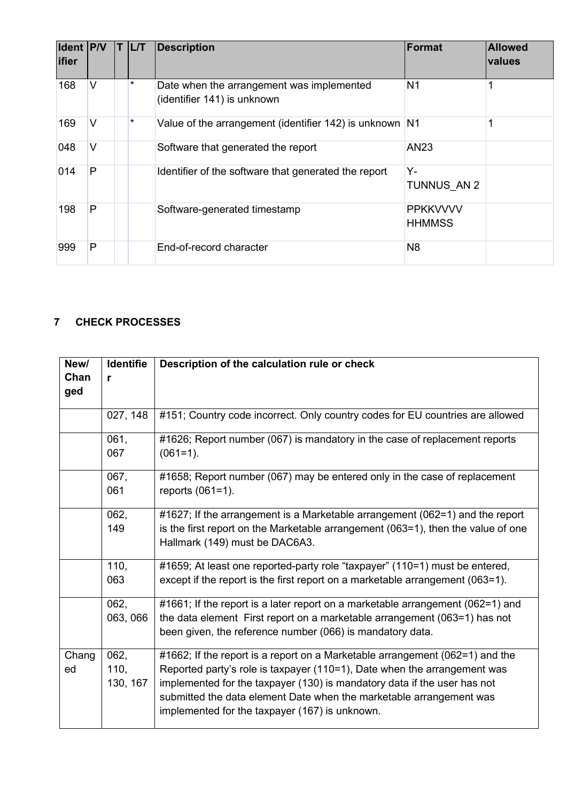| Ident P/V<br><b>lifier</b> |   | <b>T L/T</b> | <b>Description</b>                                                       | Format                           | <b>Allowed</b><br>values |
|----------------------------|---|--------------|--------------------------------------------------------------------------|----------------------------------|--------------------------|
| 168                        | V | $\star$      | Date when the arrangement was implemented<br>(identifier 141) is unknown | N <sub>1</sub>                   | 1                        |
| 169                        | V | $^\star$     | Value of the arrangement (identifier 142) is unknown                     | N <sub>1</sub>                   | 1                        |
| 048                        | V |              | Software that generated the report                                       | <b>AN23</b>                      |                          |
| 014                        | P |              | Identifier of the software that generated the report                     | Y-<br>TUNNUS AN 2                |                          |
| 198                        | P |              | Software-generated timestamp                                             | <b>PPKKVVVV</b><br><b>HHMMSS</b> |                          |
| 999                        | P |              | End-of-record character                                                  | N <sub>8</sub>                   |                          |

# <span id="page-10-0"></span>**7 CHECK PROCESSES**

| New/<br>Chan<br>ged | <b>Identifie</b><br>r    | Description of the calculation rule or check                                                                                                                                                                                                                                                                                                                  |
|---------------------|--------------------------|---------------------------------------------------------------------------------------------------------------------------------------------------------------------------------------------------------------------------------------------------------------------------------------------------------------------------------------------------------------|
|                     | 027, 148                 | #151; Country code incorrect. Only country codes for EU countries are allowed                                                                                                                                                                                                                                                                                 |
|                     | 061,<br>067              | #1626; Report number (067) is mandatory in the case of replacement reports<br>$(061=1).$                                                                                                                                                                                                                                                                      |
|                     | 067,<br>061              | #1658; Report number (067) may be entered only in the case of replacement<br>reports $(061=1)$ .                                                                                                                                                                                                                                                              |
|                     | 062,<br>149              | #1627; If the arrangement is a Marketable arrangement (062=1) and the report<br>is the first report on the Marketable arrangement (063=1), then the value of one<br>Hallmark (149) must be DAC6A3.                                                                                                                                                            |
|                     | 110,<br>063              | #1659; At least one reported-party role "taxpayer" (110=1) must be entered,<br>except if the report is the first report on a marketable arrangement (063=1).                                                                                                                                                                                                  |
|                     | 062,<br>063, 066         | #1661; If the report is a later report on a marketable arrangement (062=1) and<br>the data element First report on a marketable arrangement (063=1) has not<br>been given, the reference number (066) is mandatory data.                                                                                                                                      |
| Chang<br>ed         | 062,<br>110,<br>130, 167 | #1662; If the report is a report on a Marketable arrangement (062=1) and the<br>Reported party's role is taxpayer (110=1), Date when the arrangement was<br>implemented for the taxpayer (130) is mandatory data if the user has not<br>submitted the data element Date when the marketable arrangement was<br>implemented for the taxpayer (167) is unknown. |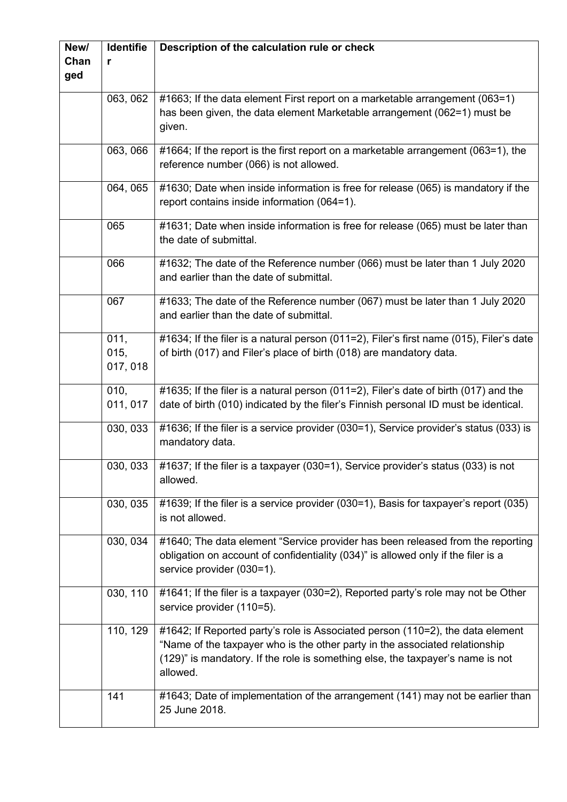| New/ | <b>Identifie</b>         | Description of the calculation rule or check                                                                                                                                                                                                                |
|------|--------------------------|-------------------------------------------------------------------------------------------------------------------------------------------------------------------------------------------------------------------------------------------------------------|
| Chan | r                        |                                                                                                                                                                                                                                                             |
| ged  |                          |                                                                                                                                                                                                                                                             |
|      | 063, 062                 | #1663; If the data element First report on a marketable arrangement (063=1)<br>has been given, the data element Marketable arrangement (062=1) must be<br>given.                                                                                            |
|      | 063, 066                 | #1664; If the report is the first report on a marketable arrangement (063=1), the<br>reference number (066) is not allowed.                                                                                                                                 |
|      | 064, 065                 | #1630; Date when inside information is free for release (065) is mandatory if the<br>report contains inside information (064=1).                                                                                                                            |
|      | 065                      | #1631; Date when inside information is free for release (065) must be later than<br>the date of submittal.                                                                                                                                                  |
|      | 066                      | #1632; The date of the Reference number (066) must be later than 1 July 2020<br>and earlier than the date of submittal.                                                                                                                                     |
|      | 067                      | #1633; The date of the Reference number (067) must be later than 1 July 2020<br>and earlier than the date of submittal.                                                                                                                                     |
|      | 011,<br>015,<br>017, 018 | #1634; If the filer is a natural person (011=2), Filer's first name (015), Filer's date<br>of birth (017) and Filer's place of birth (018) are mandatory data.                                                                                              |
|      | 010,<br>011, 017         | #1635; If the filer is a natural person (011=2), Filer's date of birth (017) and the<br>date of birth (010) indicated by the filer's Finnish personal ID must be identical.                                                                                 |
|      | 030, 033                 | #1636; If the filer is a service provider (030=1), Service provider's status (033) is<br>mandatory data.                                                                                                                                                    |
|      | 030, 033                 | #1637; If the filer is a taxpayer (030=1), Service provider's status (033) is not<br>allowed.                                                                                                                                                               |
|      | 030, 035                 | #1639; If the filer is a service provider (030=1), Basis for taxpayer's report (035)<br>is not allowed.                                                                                                                                                     |
|      | 030, 034                 | #1640; The data element "Service provider has been released from the reporting<br>obligation on account of confidentiality (034)" is allowed only if the filer is a<br>service provider (030=1).                                                            |
|      | 030, 110                 | #1641; If the filer is a taxpayer (030=2), Reported party's role may not be Other<br>service provider (110=5).                                                                                                                                              |
|      | 110, 129                 | #1642; If Reported party's role is Associated person (110=2), the data element<br>"Name of the taxpayer who is the other party in the associated relationship<br>(129)" is mandatory. If the role is something else, the taxpayer's name is not<br>allowed. |
|      | 141                      | #1643; Date of implementation of the arrangement (141) may not be earlier than<br>25 June 2018.                                                                                                                                                             |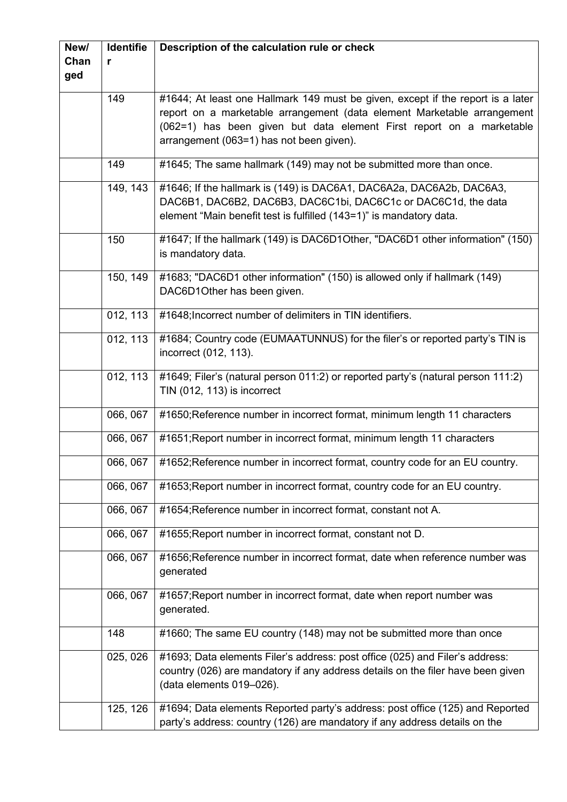| New/ | Identifie | Description of the calculation rule or check                                     |
|------|-----------|----------------------------------------------------------------------------------|
| Chan | r         |                                                                                  |
| ged  |           |                                                                                  |
|      |           |                                                                                  |
|      | 149       | #1644; At least one Hallmark 149 must be given, except if the report is a later  |
|      |           | report on a marketable arrangement (data element Marketable arrangement          |
|      |           | (062=1) has been given but data element First report on a marketable             |
|      |           | arrangement (063=1) has not been given).                                         |
|      |           |                                                                                  |
|      | 149       | #1645; The same hallmark (149) may not be submitted more than once.              |
|      | 149, 143  | #1646; If the hallmark is (149) is DAC6A1, DAC6A2a, DAC6A2b, DAC6A3,             |
|      |           | DAC6B1, DAC6B2, DAC6B3, DAC6C1bi, DAC6C1c or DAC6C1d, the data                   |
|      |           | element "Main benefit test is fulfilled (143=1)" is mandatory data.              |
|      |           |                                                                                  |
|      | 150       | #1647; If the hallmark (149) is DAC6D1Other, "DAC6D1 other information" (150)    |
|      |           | is mandatory data.                                                               |
|      |           |                                                                                  |
|      | 150, 149  | #1683; "DAC6D1 other information" (150) is allowed only if hallmark (149)        |
|      |           | DAC6D1Other has been given.                                                      |
|      |           |                                                                                  |
|      | 012, 113  | #1648; Incorrect number of delimiters in TIN identifiers.                        |
|      | 012, 113  | #1684; Country code (EUMAATUNNUS) for the filer's or reported party's TIN is     |
|      |           | incorrect (012, 113).                                                            |
|      |           |                                                                                  |
|      | 012, 113  | #1649; Filer's (natural person 011:2) or reported party's (natural person 111:2) |
|      |           | TIN (012, 113) is incorrect                                                      |
|      |           |                                                                                  |
|      | 066, 067  | #1650; Reference number in incorrect format, minimum length 11 characters        |
|      |           | #1651; Report number in incorrect format, minimum length 11 characters           |
|      | 066, 067  |                                                                                  |
|      | 066, 067  | #1652; Reference number in incorrect format, country code for an EU country.     |
|      |           |                                                                                  |
|      | 066, 067  | #1653; Report number in incorrect format, country code for an EU country.        |
|      |           |                                                                                  |
|      | 066, 067  | #1654; Reference number in incorrect format, constant not A.                     |
|      | 066, 067  | #1655; Report number in incorrect format, constant not D.                        |
|      |           |                                                                                  |
|      | 066, 067  | #1656;Reference number in incorrect format, date when reference number was       |
|      |           | generated                                                                        |
|      | 066, 067  | #1657; Report number in incorrect format, date when report number was            |
|      |           | generated.                                                                       |
|      |           |                                                                                  |
|      | 148       | #1660; The same EU country (148) may not be submitted more than once             |
|      | 025, 026  | #1693; Data elements Filer's address: post office (025) and Filer's address:     |
|      |           | country (026) are mandatory if any address details on the filer have been given  |
|      |           |                                                                                  |
|      |           | (data elements 019-026).                                                         |
|      | 125, 126  | #1694; Data elements Reported party's address: post office (125) and Reported    |
|      |           | party's address: country (126) are mandatory if any address details on the       |
|      |           |                                                                                  |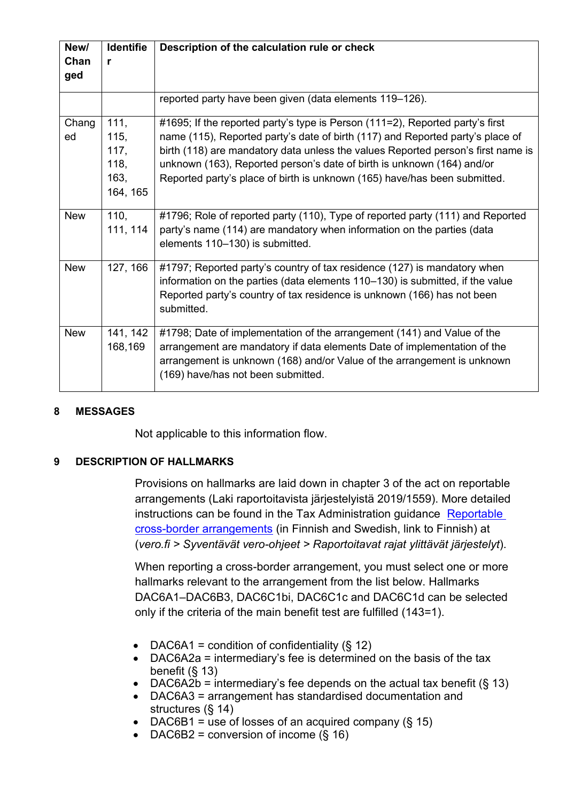| New/<br>Chan<br>ged | <b>Identifie</b><br>r                            | Description of the calculation rule or check                                                                                                                                                                                                                                                                                                                                                               |
|---------------------|--------------------------------------------------|------------------------------------------------------------------------------------------------------------------------------------------------------------------------------------------------------------------------------------------------------------------------------------------------------------------------------------------------------------------------------------------------------------|
|                     |                                                  | reported party have been given (data elements 119-126).                                                                                                                                                                                                                                                                                                                                                    |
| Chang<br>ed         | 111,<br>115,<br>117,<br>118,<br>163,<br>164, 165 | #1695; If the reported party's type is Person (111=2), Reported party's first<br>name (115), Reported party's date of birth (117) and Reported party's place of<br>birth (118) are mandatory data unless the values Reported person's first name is<br>unknown (163), Reported person's date of birth is unknown (164) and/or<br>Reported party's place of birth is unknown (165) have/has been submitted. |
| <b>New</b>          | 110,<br>111, 114                                 | #1796; Role of reported party (110), Type of reported party (111) and Reported<br>party's name (114) are mandatory when information on the parties (data<br>elements 110-130) is submitted.                                                                                                                                                                                                                |
| <b>New</b>          | 127, 166                                         | #1797; Reported party's country of tax residence (127) is mandatory when<br>information on the parties (data elements 110-130) is submitted, if the value<br>Reported party's country of tax residence is unknown (166) has not been<br>submitted.                                                                                                                                                         |
| <b>New</b>          | 141, 142<br>168,169                              | #1798; Date of implementation of the arrangement (141) and Value of the<br>arrangement are mandatory if data elements Date of implementation of the<br>arrangement is unknown (168) and/or Value of the arrangement is unknown<br>(169) have/has not been submitted.                                                                                                                                       |

#### <span id="page-13-0"></span>**8 MESSAGES**

Not applicable to this information flow.

#### <span id="page-13-1"></span>**9 DESCRIPTION OF HALLMARKS**

Provisions on hallmarks are laid down in chapter 3 of the act on reportable arrangements (Laki raportoitavista järjestelyistä 2019/1559). More detailed instructions can be found in the Tax Administration guidance [Reportable](https://www.vero.fi/syventavat-vero-ohjeet/ohje-hakusivu/84830/raportoitavat-rajat-ylitt%C3%A4v%C3%A4t-j%C3%A4rjestelyt/)  [cross-border arrangements](https://www.vero.fi/syventavat-vero-ohjeet/ohje-hakusivu/84830/raportoitavat-rajat-ylitt%C3%A4v%C3%A4t-j%C3%A4rjestelyt/) (in Finnish and Swedish, link to Finnish) at (*vero.fi > Syventävät vero-ohjeet > Raportoitavat rajat ylittävät järjestelyt*).

When reporting a cross-border arrangement, you must select one or more hallmarks relevant to the arrangement from the list below. Hallmarks DAC6A1–DAC6B3, DAC6C1bi, DAC6C1c and DAC6C1d can be selected only if the criteria of the main benefit test are fulfilled (143=1).

- DAC6A1 = condition of confidentiality  $(S_1 12)$
- DAC6A2a = intermediary's fee is determined on the basis of the tax benefit (§ 13)
- DAC6A2b = intermediary's fee depends on the actual tax benefit  $(\S 13)$
- DAC6A3 = arrangement has standardised documentation and structures (§ 14)
- DAC6B1 = use of losses of an acquired company  $(\S 15)$
- DAC6B2 = conversion of income  $(\S 16)$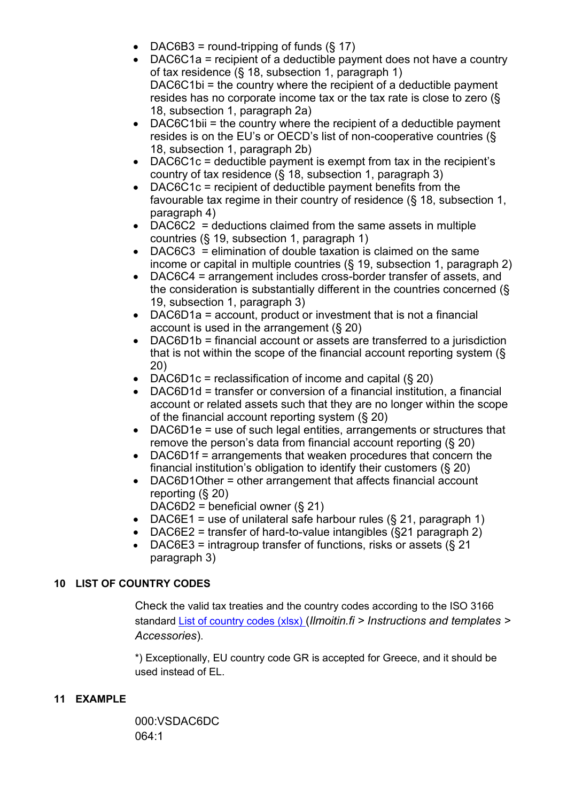- DAC6B3 = round-tripping of funds  $(§ 17)$
- DAC6C1a = recipient of a deductible payment does not have a country of tax residence (§ 18, subsection 1, paragraph 1) DAC6C1bi = the country where the recipient of a deductible payment resides has no corporate income tax or the tax rate is close to zero (§ 18, subsection 1, paragraph 2a)
- DAC6C1bii = the country where the recipient of a deductible payment resides is on the EU's or OECD's list of non-cooperative countries (§ 18, subsection 1, paragraph 2b)
- DAC6C1c = deductible payment is exempt from tax in the recipient's country of tax residence (§ 18, subsection 1, paragraph 3)
- DAC6C1c = recipient of deductible payment benefits from the favourable tax regime in their country of residence (§ 18, subsection 1, paragraph 4)
- $DAC6C2$  = deductions claimed from the same assets in multiple countries (§ 19, subsection 1, paragraph 1)
- DAC6C3 = elimination of double taxation is claimed on the same income or capital in multiple countries (§ 19, subsection 1, paragraph 2)
- DAC6C4 = arrangement includes cross-border transfer of assets, and the consideration is substantially different in the countries concerned (§ 19, subsection 1, paragraph 3)
- DAC6D1a = account, product or investment that is not a financial account is used in the arrangement (§ 20)
- DAC6D1b = financial account or assets are transferred to a jurisdiction that is not within the scope of the financial account reporting system (§ 20)
- DAC6D1 $c$  = reclassification of income and capital  $(\S$  20)
- DAC6D1d = transfer or conversion of a financial institution, a financial account or related assets such that they are no longer within the scope of the financial account reporting system (§ 20)
- DAC6D1e = use of such legal entities, arrangements or structures that remove the person's data from financial account reporting (§ 20)
- DAC6D1f = arrangements that weaken procedures that concern the financial institution's obligation to identify their customers (§ 20)
- DAC6D1Other = other arrangement that affects financial account reporting (§ 20)
	- DAC6D2 = beneficial owner  $(\S 21)$
- DAC6E1 = use of unilateral safe harbour rules  $(\S 21)$ , paragraph 1)
- DAC6E2 = transfer of hard-to-value intangibles  $(S21)$  paragraph 2)
- DAC6E3 = intragroup transfer of functions, risks or assets (§ 21 paragraph 3)

### <span id="page-14-0"></span>**10 LIST OF COUNTRY CODES**

Check the valid tax treaties and the country codes according to the ISO 3166 standard [List of country codes \(xlsx\)](https://www.ilmoitin.fi/webtamo/sivut/ExcelPohjat?1&kieli=en) (*Ilmoitin.fi > Instructions and templates > Accessories*).

\*) Exceptionally, EU country code GR is accepted for Greece, and it should be used instead of EL.

#### <span id="page-14-1"></span>**11 EXAMPLE**

000:VSDAC6DC 064:1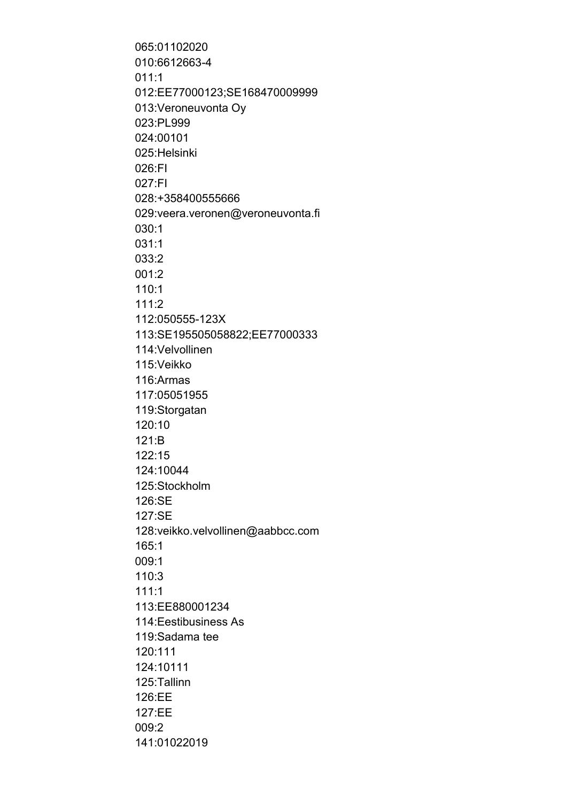065:01102020 010:6612663-4 011:1 012:EE77000123;SE168470009999 013:Veroneuvonta Oy 023:PL999 024:00101 025:Helsinki 026:FI 027:FI 028:+358400555666 029:veera.veronen@veroneuvonta.fi 030:1 031:1 033:2 001:2 110:1 111:2 112:050555-123X 113:SE195505058822;EE77000333 114:Velvollinen 115:Veikko 116:Armas 117:05051955 119:Storgatan 120:10 121:B 122:15 124:10044 125:Stockholm 126:SE 127:SE 128:veikko.velvollinen@aabbcc.com 165:1 009:1 110:3 111:1 113:EE880001234 114:Eestibusiness As 119:Sadama tee 120:111 124:10111 125:Tallinn 126:EE 127:EE 009:2 141:01022019